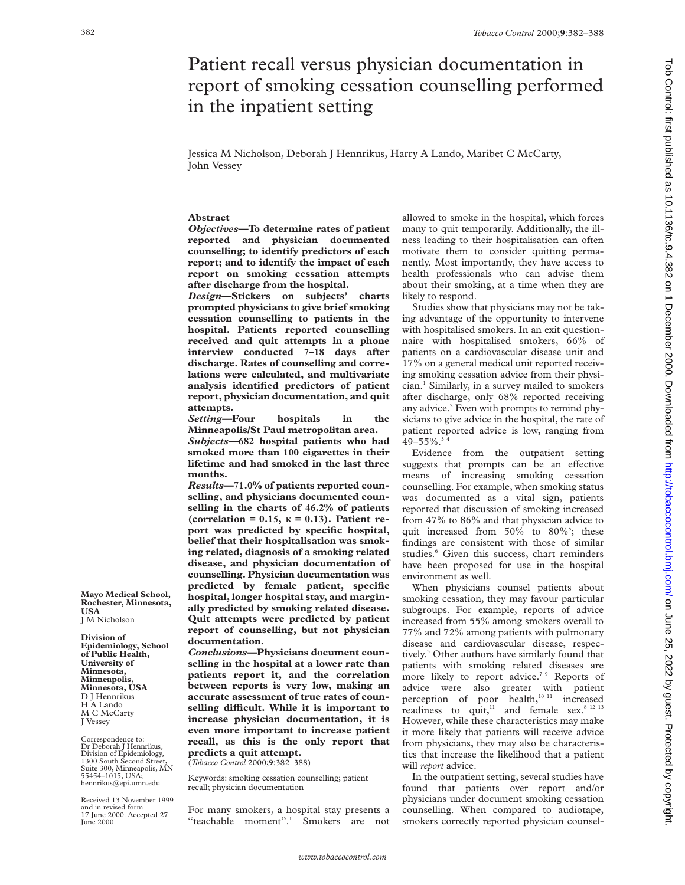# Patient recall versus physician documentation in report of smoking cessation counselling performed in the inpatient setting

Jessica M Nicholson, Deborah J Hennrikus, Harry A Lando, Maribet C McCarty, John Vessey

## **Abstract**

*Objectives***—To determine rates of patient reported and physician documented counselling; to identify predictors of each report; and to identify the impact of each report on smoking cessation attempts after discharge from the hospital.**

*Design***—Stickers on subjects' charts prompted physicians to give brief smoking cessation counselling to patients in the hospital. Patients reported counselling received and quit attempts in a phone interview conducted 7–18 days after discharge. Rates of counselling and correlations were calculated, and multivariate analysis identified predictors of patient report, physician documentation, and quit attempts.**

*Setting***—Four hospitals in the Minneapolis/St Paul metropolitan area.**

*Subjects***—682 hospital patients who had smoked more than 100 cigarettes in their lifetime and had smoked in the last three months.**

*Results***—71.0% of patients reported counselling, and physicians documented counselling in the charts of 46.2% of patients**  $(correlation = 0.15, \kappa = 0.13)$ . Patient re**port was predicted by specific hospital, belief that their hospitalisation was smoking related, diagnosis of a smoking related disease, and physician documentation of counselling. Physician documentation was predicted by female patient, specific hospital, longer hospital stay, and marginally predicted by smoking related disease. Quit attempts were predicted by patient report of counselling, but not physician documentation.**

*Conclusions***—Physicians document counselling in the hospital at a lower rate than patients report it, and the correlation between reports is very low, making an accurate assessment of true rates of counselling diYcult. While it is important to increase physician documentation, it is even more important to increase patient recall, as this is the only report that predicts a quit attempt.**

(*Tobacco Control* 2000;**9**:382–388)

Keywords: smoking cessation counselling; patient recall; physician documentation

For many smokers, a hospital stay presents a "teachable moment".<sup>1</sup> Smokers are not allowed to smoke in the hospital, which forces many to quit temporarily. Additionally, the illness leading to their hospitalisation can often motivate them to consider quitting permanently. Most importantly, they have access to health professionals who can advise them about their smoking, at a time when they are likely to respond.

Studies show that physicians may not be taking advantage of the opportunity to intervene with hospitalised smokers. In an exit questionnaire with hospitalised smokers, 66% of patients on a cardiovascular disease unit and 17% on a general medical unit reported receiving smoking cessation advice from their physician.1 Similarly, in a survey mailed to smokers after discharge, only 68% reported receiving any advice.<sup>2</sup> Even with prompts to remind physicians to give advice in the hospital, the rate of patient reported advice is low, ranging from  $49 - 55\%$ .<sup>3</sup>

Evidence from the outpatient setting suggests that prompts can be an effective means of increasing smoking cessation counselling. For example, when smoking status was documented as a vital sign, patients reported that discussion of smoking increased from 47% to 86% and that physician advice to quit increased from 50% to 80%<sup>5</sup>; these findings are consistent with those of similar studies.<sup>6</sup> Given this success, chart reminders have been proposed for use in the hospital environment as well.

When physicians counsel patients about smoking cessation, they may favour particular subgroups. For example, reports of advice increased from 55% among smokers overall to 77% and 72% among patients with pulmonary disease and cardiovascular disease, respectively.3 Other authors have similarly found that patients with smoking related diseases are more likely to report advice.<sup>7-9</sup> Reports of advice were also greater with patient perception of poor health,<sup>10 11</sup> increased readiness to  $quit,$ <sup>11</sup> and female sex.<sup>8 12 13</sup> However, while these characteristics may make it more likely that patients will receive advice from physicians, they may also be characteristics that increase the likelihood that a patient will *report* advice.

In the outpatient setting, several studies have found that patients over report and/or physicians under document smoking cessation counselling. When compared to audiotape, smokers correctly reported physician counsel-

**Mayo Medical School, Rochester, Minnesota, USA** J M Nicholson

**Division of Epidemiology, School of Public Health, University of Minnesota, Minneapolis, Minnesota, USA** D J Hennrikus H A Lando M C McCarty J Vessey

Correspondence to: Dr Deborah J Hennrikus, Division of Epidemiology, 1300 South Second Street, Suite 300, Minneapolis, MN 55454–1015, USA; hennrikus@epi.umn.edu

Received 13 November 1999 and in revised form 17 June 2000. Accepted 27 June 2000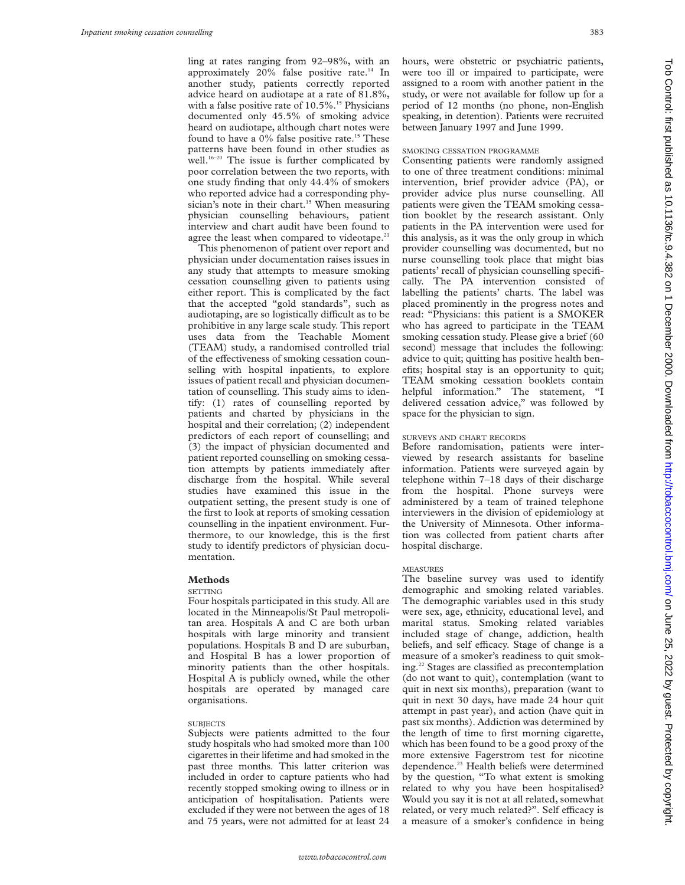ling at rates ranging from 92–98%, with an approximately  $20\%$  false positive rate.<sup>14</sup> In another study, patients correctly reported advice heard on audiotape at a rate of 81.8%, with a false positive rate of  $10.5\%$ .<sup>15</sup> Physicians documented only 45.5% of smoking advice heard on audiotape, although chart notes were found to have a  $0\%$  false positive rate.<sup>15</sup> These patterns have been found in other studies as well.<sup>16-20</sup> The issue is further complicated by poor correlation between the two reports, with one study finding that only 44.4% of smokers who reported advice had a corresponding physician's note in their chart.<sup>15</sup> When measuring physician counselling behaviours, patient interview and chart audit have been found to agree the least when compared to videotape.<sup>21</sup>

This phenomenon of patient over report and physician under documentation raises issues in any study that attempts to measure smoking cessation counselling given to patients using either report. This is complicated by the fact that the accepted "gold standards", such as audiotaping, are so logistically difficult as to be prohibitive in any large scale study. This report uses data from the Teachable Moment (TEAM) study, a randomised controlled trial of the effectiveness of smoking cessation counselling with hospital inpatients, to explore issues of patient recall and physician documentation of counselling. This study aims to identify: (1) rates of counselling reported by patients and charted by physicians in the hospital and their correlation; (2) independent predictors of each report of counselling; and (3) the impact of physician documented and patient reported counselling on smoking cessation attempts by patients immediately after discharge from the hospital. While several studies have examined this issue in the outpatient setting, the present study is one of the first to look at reports of smoking cessation counselling in the inpatient environment. Furthermore, to our knowledge, this is the first study to identify predictors of physician documentation.

## **Methods**

#### **SETTING**

Four hospitals participated in this study. All are located in the Minneapolis/St Paul metropolitan area. Hospitals A and C are both urban hospitals with large minority and transient populations. Hospitals B and D are suburban, and Hospital B has a lower proportion of minority patients than the other hospitals. Hospital A is publicly owned, while the other hospitals are operated by managed care organisations.

## **SUBJECTS**

Subjects were patients admitted to the four study hospitals who had smoked more than 100 cigarettes in their lifetime and had smoked in the past three months. This latter criterion was included in order to capture patients who had recently stopped smoking owing to illness or in anticipation of hospitalisation. Patients were excluded if they were not between the ages of 18 and 75 years, were not admitted for at least 24 hours, were obstetric or psychiatric patients, were too ill or impaired to participate, were assigned to a room with another patient in the study, or were not available for follow up for a period of 12 months (no phone, non-English speaking, in detention). Patients were recruited between January 1997 and June 1999.

## SMOKING CESSATION PROGRAMME

Consenting patients were randomly assigned to one of three treatment conditions: minimal intervention, brief provider advice (PA), or provider advice plus nurse counselling. All patients were given the TEAM smoking cessation booklet by the research assistant. Only patients in the PA intervention were used for this analysis, as it was the only group in which provider counselling was documented, but no nurse counselling took place that might bias patients' recall of physician counselling specifically. The PA intervention consisted of labelling the patients' charts. The label was placed prominently in the progress notes and read: "Physicians: this patient is a SMOKER who has agreed to participate in the TEAM smoking cessation study. Please give a brief (60 second) message that includes the following: advice to quit; quitting has positive health benefits; hospital stay is an opportunity to quit; TEAM smoking cessation booklets contain helpful information." The statement, "I delivered cessation advice," was followed by space for the physician to sign.

## SURVEYS AND CHART RECORDS

Before randomisation, patients were interviewed by research assistants for baseline information. Patients were surveyed again by telephone within 7–18 days of their discharge from the hospital. Phone surveys were administered by a team of trained telephone interviewers in the division of epidemiology at the University of Minnesota. Other information was collected from patient charts after hospital discharge.

## MEASURES

The baseline survey was used to identify demographic and smoking related variables. The demographic variables used in this study were sex, age, ethnicity, educational level, and marital status. Smoking related variables included stage of change, addiction, health beliefs, and self efficacy. Stage of change is a measure of a smoker's readiness to quit smoking.22 Stages are classified as precontemplation (do not want to quit), contemplation (want to quit in next six months), preparation (want to quit in next 30 days, have made 24 hour quit attempt in past year), and action (have quit in past six months). Addiction was determined by the length of time to first morning cigarette, which has been found to be a good proxy of the more extensive Fagerstrom test for nicotine dependence.<sup>23</sup> Health beliefs were determined by the question, "To what extent is smoking related to why you have been hospitalised? Would you say it is not at all related, somewhat related, or very much related?". Self efficacy is a measure of a smoker's confidence in being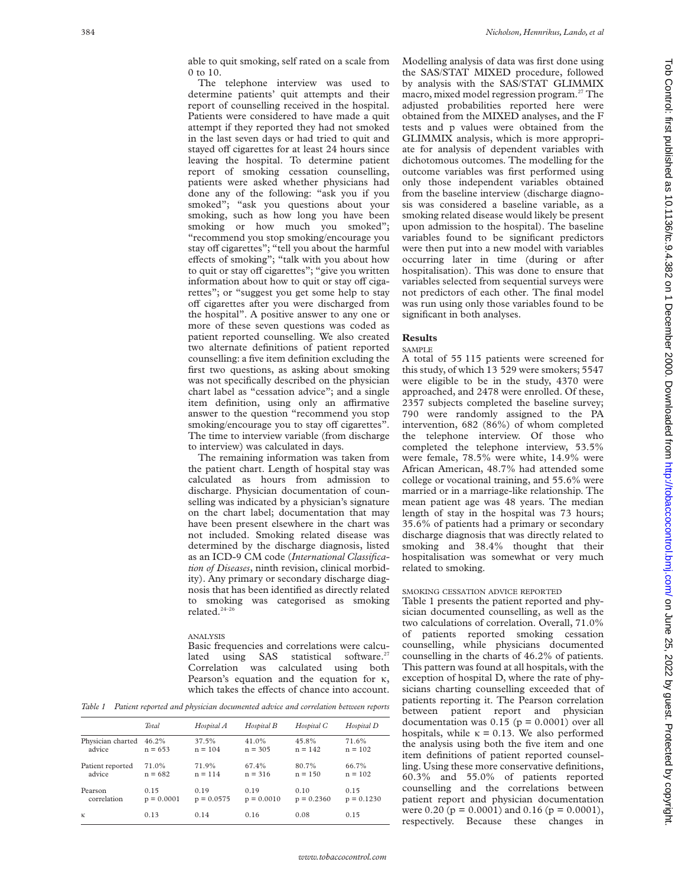able to quit smoking, self rated on a scale from 0 to 10.

The telephone interview was used to determine patients' quit attempts and their report of counselling received in the hospital. Patients were considered to have made a quit attempt if they reported they had not smoked in the last seven days or had tried to quit and stayed off cigarettes for at least 24 hours since leaving the hospital. To determine patient report of smoking cessation counselling, patients were asked whether physicians had done any of the following: "ask you if you smoked"; "ask you questions about your smoking, such as how long you have been smoking or how much you smoked"; "recommend you stop smoking/encourage you stay off cigarettes"; "tell you about the harmful effects of smoking"; "talk with you about how to quit or stay off cigarettes"; "give you written information about how to quit or stay off cigarettes"; or "suggest you get some help to stay off cigarettes after you were discharged from the hospital". A positive answer to any one or more of these seven questions was coded as patient reported counselling. We also created two alternate definitions of patient reported counselling: a five item definition excluding the first two questions, as asking about smoking was not specifically described on the physician chart label as "cessation advice"; and a single item definition, using only an affirmative answer to the question "recommend you stop smoking/encourage you to stay off cigarettes". The time to interview variable (from discharge to interview) was calculated in days.

The remaining information was taken from the patient chart. Length of hospital stay was calculated as hours from admission to discharge. Physician documentation of counselling was indicated by a physician's signature on the chart label; documentation that may have been present elsewhere in the chart was not included. Smoking related disease was determined by the discharge diagnosis, listed as an ICD-9 CM code (*International Classification of Diseases*, ninth revision, clinical morbidity). Any primary or secondary discharge diagnosis that has been identified as directly related to smoking was categorised as smoking related.24–26

#### ANALYSIS

Basic frequencies and correlations were calculated using SAS statistical software.<sup>27</sup> Correlation was calculated using both Pearson's equation and the equation for  $\kappa$ , which takes the effects of chance into account.

*Table 1 Patient reported and physician documented advice and correlation between reports*

|                   | Total        | Hospital A   | Hospital B   | Hospital C   | Hospital D   |
|-------------------|--------------|--------------|--------------|--------------|--------------|
| Physician charted | 46.2%        | 37.5%        | 41.0%        | 45.8%        | 71.6%        |
| advice            | $n = 653$    | $n = 104$    | $n = 305$    | $n = 142$    | $n = 102$    |
| Patient reported  | 71.0%        | 71.9%        | 67.4%        | 80.7%        | 66.7%        |
| advice            | $n = 682$    | $n = 114$    | $n = 316$    | $n = 150$    | $n = 102$    |
| Pearson           | 0.15         | 0.19         | 0.19         | 0.10         | 0.15         |
| correlation       | $p = 0.0001$ | $p = 0.0575$ | $p = 0.0010$ | $p = 0.2360$ | $p = 0.1230$ |
| к                 | 0.13         | 0.14         | 0.16         | 0.08         | 0.15         |

Modelling analysis of data was first done using the SAS/STAT MIXED procedure, followed by analysis with the SAS/STAT GLIMMIX macro, mixed model regression program.<sup>27</sup> The adjusted probabilities reported here were obtained from the MIXED analyses, and the F tests and p values were obtained from the GLIMMIX analysis, which is more appropriate for analysis of dependent variables with dichotomous outcomes. The modelling for the outcome variables was first performed using only those independent variables obtained from the baseline interview (discharge diagnosis was considered a baseline variable, as a smoking related disease would likely be present upon admission to the hospital). The baseline variables found to be significant predictors were then put into a new model with variables occurring later in time (during or after hospitalisation). This was done to ensure that variables selected from sequential surveys were not predictors of each other. The final model was run using only those variables found to be significant in both analyses.

## **Results**

SAMPLE

A total of 55 115 patients were screened for this study, of which 13 529 were smokers; 5547 were eligible to be in the study, 4370 were approached, and 2478 were enrolled. Of these, 2357 subjects completed the baseline survey; 790 were randomly assigned to the PA intervention, 682 (86%) of whom completed the telephone interview. Of those who completed the telephone interview, 53.5% were female, 78.5% were white, 14.9% were African American, 48.7% had attended some college or vocational training, and 55.6% were married or in a marriage-like relationship. The mean patient age was 48 years. The median length of stay in the hospital was 73 hours; 35.6% of patients had a primary or secondary discharge diagnosis that was directly related to smoking and 38.4% thought that their hospitalisation was somewhat or very much related to smoking.

## SMOKING CESSATION ADVICE REPORTED

Table 1 presents the patient reported and physician documented counselling, as well as the two calculations of correlation. Overall, 71.0% of patients reported smoking cessation counselling, while physicians documented counselling in the charts of 46.2% of patients. This pattern was found at all hospitals, with the exception of hospital D, where the rate of physicians charting counselling exceeded that of patients reporting it. The Pearson correlation between patient report and physician documentation was  $0.15$  ( $p = 0.0001$ ) over all hospitals, while  $\kappa = 0.13$ . We also performed the analysis using both the five item and one item definitions of patient reported counselling. Using these more conservative definitions, 60.3% and 55.0% of patients reported counselling and the correlations between patient report and physician documentation were  $0.20$  (p = 0.0001) and  $0.16$  (p = 0.0001), respectively. Because these changes in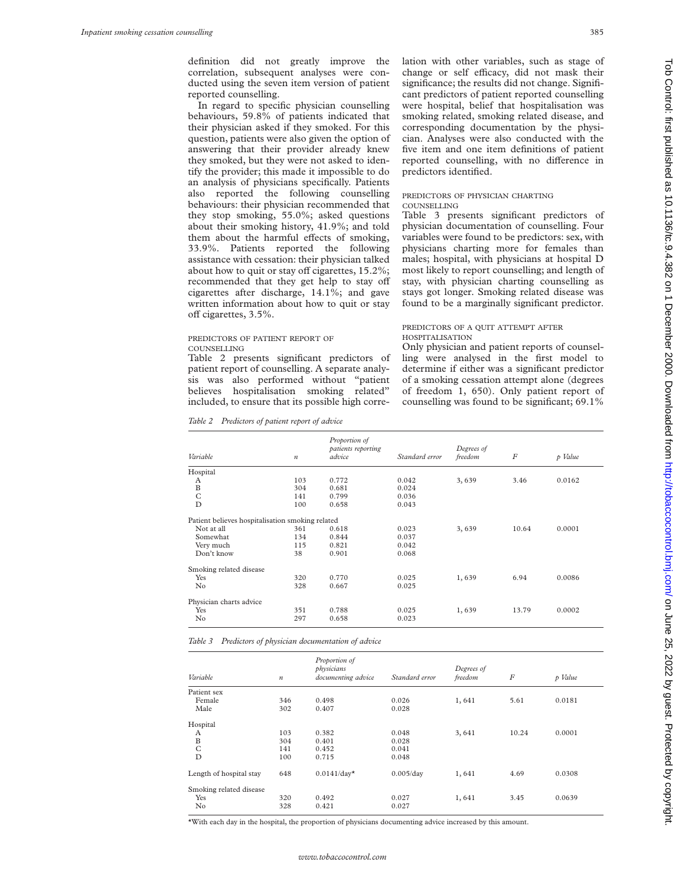definition did not greatly improve the correlation, subsequent analyses were conducted using the seven item version of patient reported counselling.

In regard to specific physician counselling behaviours, 59.8% of patients indicated that their physician asked if they smoked. For this question, patients were also given the option of answering that their provider already knew they smoked, but they were not asked to identify the provider; this made it impossible to do an analysis of physicians specifically. Patients also reported the following counselling behaviours: their physician recommended that they stop smoking, 55.0%; asked questions about their smoking history, 41.9%; and told them about the harmful effects of smoking, 33.9%. Patients reported the following assistance with cessation: their physician talked about how to quit or stay off cigarettes, 15.2%; recommended that they get help to stay off cigarettes after discharge, 14.1%; and gave written information about how to quit or stay off cigarettes, 3.5%.

## PREDICTORS OF PATIENT REPORT OF COUNSELLING

Table 2 presents significant predictors of patient report of counselling. A separate analysis was also performed without "patient believes hospitalisation smoking related" included, to ensure that its possible high corre-

*Table 2 Predictors of patient report of advice*

lation with other variables, such as stage of change or self efficacy, did not mask their significance; the results did not change. Significant predictors of patient reported counselling were hospital, belief that hospitalisation was smoking related, smoking related disease, and corresponding documentation by the physician. Analyses were also conducted with the five item and one item definitions of patient reported counselling, with no difference in predictors identified.

#### PREDICTORS OF PHYSICIAN CHARTING COUNSELLING

Table 3 presents significant predictors of physician documentation of counselling. Four variables were found to be predictors: sex, with physicians charting more for females than males; hospital, with physicians at hospital D most likely to report counselling; and length of stay, with physician charting counselling as stays got longer. Smoking related disease was found to be a marginally significant predictor.

#### PREDICTORS OF A QUIT ATTEMPT AFTER HOSPITALISATION

Only physician and patient reports of counselling were analysed in the first model to determine if either was a significant predictor of a smoking cessation attempt alone (degrees of freedom 1, 650). Only patient report of counselling was found to be significant; 69.1%

| Variable                                         | $\boldsymbol{n}$ | Proportion of<br>patients reporting<br>advice | Standard error | Degrees of<br>freedom | F     | p Value |
|--------------------------------------------------|------------------|-----------------------------------------------|----------------|-----------------------|-------|---------|
| Hospital                                         |                  |                                               |                |                       |       |         |
| А                                                | 103              | 0.772                                         | 0.042          | 3,639                 | 3.46  | 0.0162  |
| $\, {\bf B}$                                     | 304              | 0.681                                         | 0.024          |                       |       |         |
| $\mathsf{C}$                                     | 141              | 0.799                                         | 0.036          |                       |       |         |
| D                                                | 100              | 0.658                                         | 0.043          |                       |       |         |
| Patient believes hospitalisation smoking related |                  |                                               |                |                       |       |         |
| Not at all                                       | 361              | 0.618                                         | 0.023          | 3,639                 | 10.64 | 0.0001  |
| Somewhat                                         | 134              | 0.844                                         | 0.037          |                       |       |         |
| Very much                                        | 115              | 0.821                                         | 0.042          |                       |       |         |
| Don't know                                       | 38               | 0.901                                         | 0.068          |                       |       |         |
| Smoking related disease                          |                  |                                               |                |                       |       |         |
| Yes                                              | 320              | 0.770                                         | 0.025          | 1,639                 | 6.94  | 0.0086  |
| No                                               | 328              | 0.667                                         | 0.025          |                       |       |         |
| Physician charts advice                          |                  |                                               |                |                       |       |         |
| Yes                                              | 351              | 0.788                                         | 0.025          | 1,639                 | 13.79 | 0.0002  |
| No                                               | 297              | 0.658                                         | 0.023          |                       |       |         |

*Table 3 Predictors of physician documentation of advice*

| Variable                | $\boldsymbol{n}$ | Proportion of<br>physicians<br>documenting advice | Standard error | Degrees of<br>freedom | F     | p Value |
|-------------------------|------------------|---------------------------------------------------|----------------|-----------------------|-------|---------|
| Patient sex             |                  |                                                   |                |                       |       |         |
| Female                  | 346              | 0.498                                             | 0.026          | 1,641                 | 5.61  | 0.0181  |
| Male                    | 302              | 0.407                                             | 0.028          |                       |       |         |
| Hospital                |                  |                                                   |                |                       |       |         |
| А                       | 103              | 0.382                                             | 0.048          | 3,641                 | 10.24 | 0.0001  |
| $\, {\bf B}$            | 304              | 0.401                                             | 0.028          |                       |       |         |
| C                       | 141              | 0.452                                             | 0.041          |                       |       |         |
| D                       | 100              | 0.715                                             | 0.048          |                       |       |         |
| Length of hospital stay | 648              | $0.0141/dav*$                                     | $0.005$ /day   | 1,641                 | 4.69  | 0.0308  |
| Smoking related disease |                  |                                                   |                |                       |       |         |
| Yes                     | 320              | 0.492                                             | 0.027          | 1,641                 | 3.45  | 0.0639  |
| No                      | 328              | 0.421                                             | 0.027          |                       |       |         |

\*With each day in the hospital, the proportion of physicians documenting advice increased by this amount.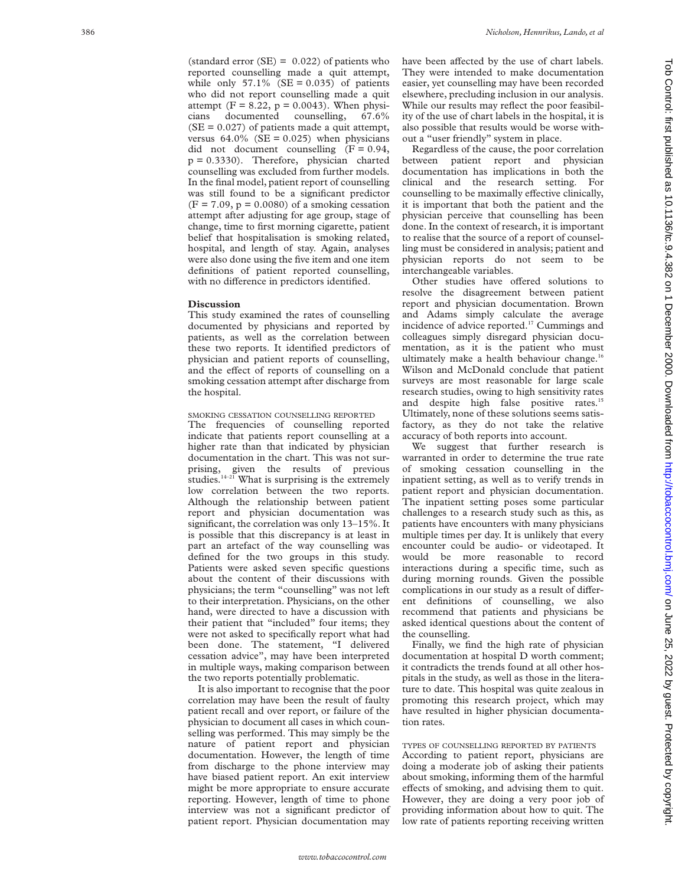(standard error  $(SE) = 0.022$ ) of patients who reported counselling made a quit attempt, while only  $57.1\%$  (SE = 0.035) of patients who did not report counselling made a quit attempt ( $F = 8.22$ ,  $p = 0.0043$ ). When physicians documented counselling, 67.6%  $(SE = 0.027)$  of patients made a quit attempt, versus  $64.0\%$  (SE = 0.025) when physicians did not document counselling  $(F = 0.94,$ p = 0.3330). Therefore, physician charted counselling was excluded from further models. In the final model, patient report of counselling was still found to be a significant predictor  $(F = 7.09, p = 0.0080)$  of a smoking cessation attempt after adjusting for age group, stage of change, time to first morning cigarette, patient belief that hospitalisation is smoking related, hospital, and length of stay. Again, analyses were also done using the five item and one item definitions of patient reported counselling, with no difference in predictors identified.

## **Discussion**

This study examined the rates of counselling documented by physicians and reported by patients, as well as the correlation between these two reports. It identified predictors of physician and patient reports of counselling, and the effect of reports of counselling on a smoking cessation attempt after discharge from the hospital.

#### SMOKING CESSATION COUNSELLING REPORTED

The frequencies of counselling reported indicate that patients report counselling at a higher rate than that indicated by physician documentation in the chart. This was not surprising, given the results of previous studies.<sup>14–21</sup> What is surprising is the extremely low correlation between the two reports. Although the relationship between patient report and physician documentation was significant, the correlation was only 13–15%. It is possible that this discrepancy is at least in part an artefact of the way counselling was defined for the two groups in this study. Patients were asked seven specific questions about the content of their discussions with physicians; the term "counselling" was not left to their interpretation. Physicians, on the other hand, were directed to have a discussion with their patient that "included" four items; they were not asked to specifically report what had been done. The statement, "I delivered cessation advice", may have been interpreted in multiple ways, making comparison between the two reports potentially problematic.

It is also important to recognise that the poor correlation may have been the result of faulty patient recall and over report, or failure of the physician to document all cases in which counselling was performed. This may simply be the nature of patient report and physician documentation. However, the length of time from discharge to the phone interview may have biased patient report. An exit interview might be more appropriate to ensure accurate reporting. However, length of time to phone interview was not a significant predictor of patient report. Physician documentation may

have been affected by the use of chart labels. They were intended to make documentation easier, yet counselling may have been recorded elsewhere, precluding inclusion in our analysis. While our results may reflect the poor feasibility of the use of chart labels in the hospital, it is also possible that results would be worse without a "user friendly" system in place.

Regardless of the cause, the poor correlation between patient report and physician documentation has implications in both the clinical and the research setting. For counselling to be maximally effective clinically, it is important that both the patient and the physician perceive that counselling has been done. In the context of research, it is important to realise that the source of a report of counselling must be considered in analysis; patient and physician reports do not seem to be interchangeable variables.

Other studies have offered solutions to resolve the disagreement between patient report and physician documentation. Brown and Adams simply calculate the average incidence of advice reported.17 Cummings and colleagues simply disregard physician documentation, as it is the patient who must ultimately make a health behaviour change.<sup>16</sup> Wilson and McDonald conclude that patient surveys are most reasonable for large scale research studies, owing to high sensitivity rates and despite high false positive rates.<sup>15</sup> Ultimately, none of these solutions seems satisfactory, as they do not take the relative accuracy of both reports into account.

We suggest that further research is warranted in order to determine the true rate of smoking cessation counselling in the inpatient setting, as well as to verify trends in patient report and physician documentation. The inpatient setting poses some particular challenges to a research study such as this, as patients have encounters with many physicians multiple times per day. It is unlikely that every encounter could be audio- or videotaped. It would be more reasonable to record interactions during a specific time, such as during morning rounds. Given the possible complications in our study as a result of different definitions of counselling, we also recommend that patients and physicians be asked identical questions about the content of the counselling.

Finally, we find the high rate of physician documentation at hospital D worth comment; it contradicts the trends found at all other hospitals in the study, as well as those in the literature to date. This hospital was quite zealous in promoting this research project, which may have resulted in higher physician documentation rates.

## TYPES OF COUNSELLING REPORTED BY PATIENTS

According to patient report, physicians are doing a moderate job of asking their patients about smoking, informing them of the harmful effects of smoking, and advising them to quit. However, they are doing a very poor job of providing information about how to quit. The low rate of patients reporting receiving written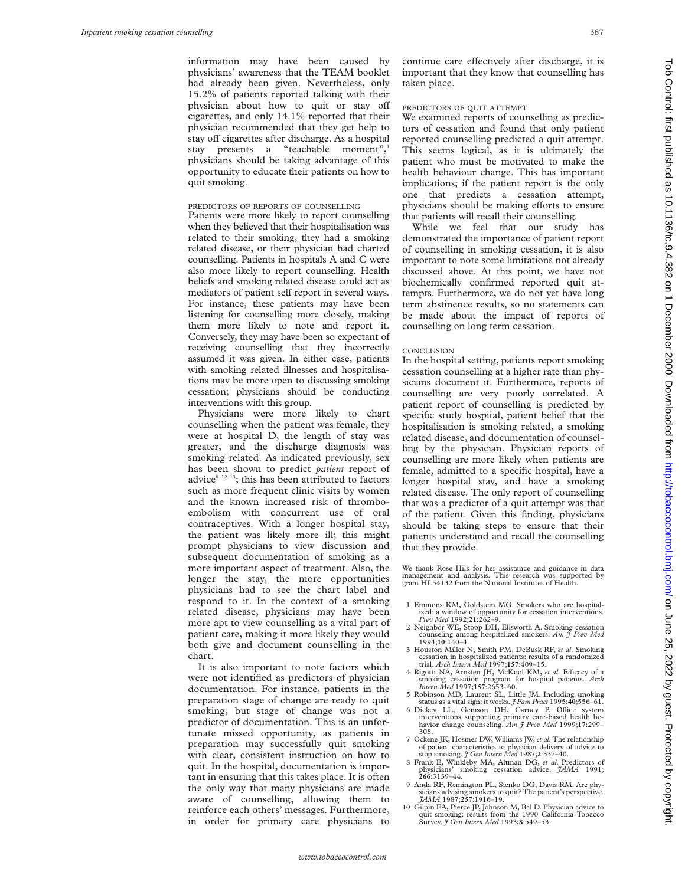information may have been caused by physicians' awareness that the TEAM booklet had already been given. Nevertheless, only 15.2% of patients reported talking with their physician about how to quit or stay off cigarettes, and only 14.1% reported that their physician recommended that they get help to stay off cigarettes after discharge. As a hospital stay presents a "teachable moment",<sup>1</sup> physicians should be taking advantage of this opportunity to educate their patients on how to quit smoking.

#### PREDICTORS OF REPORTS OF COUNSELLING

Patients were more likely to report counselling when they believed that their hospitalisation was related to their smoking, they had a smoking related disease, or their physician had charted counselling. Patients in hospitals A and C were also more likely to report counselling. Health beliefs and smoking related disease could act as mediators of patient self report in several ways. For instance, these patients may have been listening for counselling more closely, making them more likely to note and report it. Conversely, they may have been so expectant of receiving counselling that they incorrectly assumed it was given. In either case, patients with smoking related illnesses and hospitalisations may be more open to discussing smoking cessation; physicians should be conducting interventions with this group.

Physicians were more likely to chart counselling when the patient was female, they were at hospital D, the length of stay was greater, and the discharge diagnosis was smoking related. As indicated previously, sex has been shown to predict *patient* report of advice<sup>8 12 13</sup>; this has been attributed to factors such as more frequent clinic visits by women and the known increased risk of thromboembolism with concurrent use of oral contraceptives. With a longer hospital stay, the patient was likely more ill; this might prompt physicians to view discussion and subsequent documentation of smoking as a more important aspect of treatment. Also, the longer the stay, the more opportunities physicians had to see the chart label and respond to it. In the context of a smoking related disease, physicians may have been more apt to view counselling as a vital part of patient care, making it more likely they would both give and document counselling in the chart.

It is also important to note factors which were not identified as predictors of physician documentation. For instance, patients in the preparation stage of change are ready to quit smoking, but stage of change was not a predictor of documentation. This is an unfortunate missed opportunity, as patients in preparation may successfully quit smoking with clear, consistent instruction on how to quit. In the hospital, documentation is important in ensuring that this takes place. It is often the only way that many physicians are made aware of counselling, allowing them to reinforce each others' messages. Furthermore, in order for primary care physicians to

continue care effectively after discharge, it is important that they know that counselling has taken place.

## PREDICTORS OF OUIT ATTEMPT

We examined reports of counselling as predictors of cessation and found that only patient reported counselling predicted a quit attempt. This seems logical, as it is ultimately the patient who must be motivated to make the health behaviour change. This has important implications; if the patient report is the only one that predicts a cessation attempt, physicians should be making efforts to ensure that patients will recall their counselling.

While we feel that our study has demonstrated the importance of patient report of counselling in smoking cessation, it is also important to note some limitations not already discussed above. At this point, we have not biochemically confirmed reported quit attempts. Furthermore, we do not yet have long term abstinence results, so no statements can be made about the impact of reports of counselling on long term cessation.

#### **CONCLUSION**

In the hospital setting, patients report smoking cessation counselling at a higher rate than physicians document it. Furthermore, reports of counselling are very poorly correlated. A patient report of counselling is predicted by specific study hospital, patient belief that the hospitalisation is smoking related, a smoking related disease, and documentation of counselling by the physician. Physician reports of counselling are more likely when patients are female, admitted to a specific hospital, have a longer hospital stay, and have a smoking related disease. The only report of counselling that was a predictor of a quit attempt was that of the patient. Given this finding, physicians should be taking steps to ensure that their patients understand and recall the counselling that they provide.

We thank Rose Hilk for her assistance and guidance in data management and analysis. This research was supported by grant HL54132 from the National Institutes of Health.

- 1 Emmons KM, Goldstein MG. Smokers who are hospitalized: a window of opportunity for cessation interventions. *Prev Med* 1992;**21**:262–9.
- 2 Neighbor WE, Stoop DH, Ellsworth A. Smoking cessation counseling among hospitalized smokers. *Am J Prev Med* 1994;**10**:140–4.
- 3 Houston Miller N, Smith PM, DeBusk RF, *et al*. Smoking cessation in hospitalized patients: results of a randomized trial. *Arch Intern Med* 1997;**157**:409–15.
- 4 Rigotti NA, Arnsten JH, McKool KM, et al. Efficacy of a smoking cessation program for hospital patients. *Arch Intern Med* 1997;**157**:2653–60.
- 5 Robinson MD, Laurent SL, Little JM. Including smoking<br>status as a vital sign: it works. *J Fam Pract* 1995:40;556–61.<br>6 Dickey LL, Gemson DH, Carney P. Office system
- interventions supporting primary care-based health be-havior change counseling. *Am J Prev Med* 1999;**17**:299– 308.
- 7 Ockene JK, Hosmer DW, Williams JW, *et al*. The relationship of patient characteristics to physician delivery of advice to stop smoking. *J Gen Intern Med* 1987;**2**:337–40. 8 Frank E, Winkleby MA, Altman DG, *et al*. Predictors of
- physicians' smoking cessation advice. *JAMA* 1991; **<sup>266</sup>**:3139–44.
- 9 Anda RF, Remington PL, Sienko DG, Davis RM. Are physicians advising smokers to quit? The patient's perspective. *JAMA* 1987;**257**:1916–19.
- 10 Gilpin EA, Pierce JP, Johnson M, Bal D. Physician advice to quit smoking: results from the 1990 California Tobacco Survey. *J Gen Intern Med* 1993;**8**:549–53.